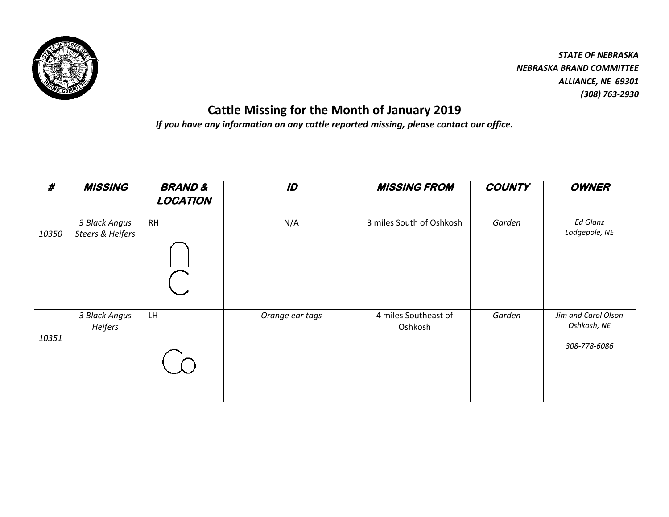

*STATE OF NEBRASKA NEBRASKA BRAND COMMITTEE ALLIANCE, NE 69301 (308) 763-2930*

## **Cattle Missing for the Month of January 2019**

*If you have any information on any cattle reported missing, please contact our office.*

| <u>#</u> | <b>MISSING</b>                    | <b>BRAND &amp;</b><br><b>LOCATION</b> | <u>ID</u>       | <b>MISSING FROM</b>             | <b>COUNTY</b> | <b>OWNER</b>                                       |
|----------|-----------------------------------|---------------------------------------|-----------------|---------------------------------|---------------|----------------------------------------------------|
| 10350    | 3 Black Angus<br>Steers & Heifers | <b>RH</b>                             | N/A             | 3 miles South of Oshkosh        | Garden        | Ed Glanz<br>Lodgepole, NE                          |
| 10351    | 3 Black Angus<br>Heifers          | LH                                    | Orange ear tags | 4 miles Southeast of<br>Oshkosh | Garden        | Jim and Carol Olson<br>Oshkosh, NE<br>308-778-6086 |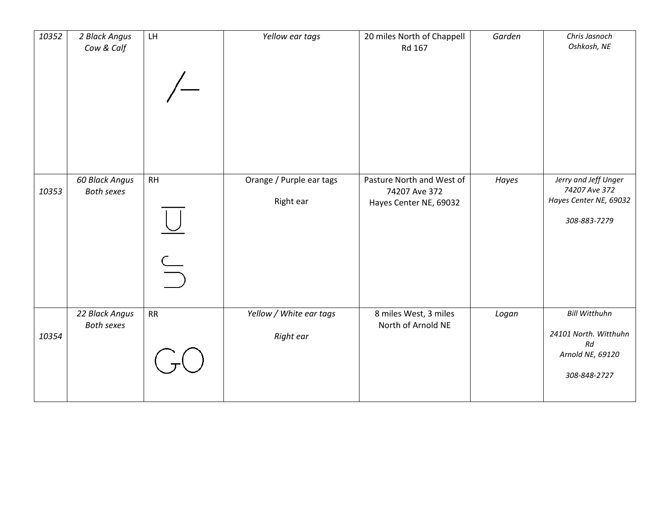| 10352 | 2 Black Angus<br>Cow & Calf         | LH                        | Yellow ear tags                       | 20 miles North of Chappell<br>Rd 167                                 | Garden | Chris Jasnoch<br>Oshkosh, NE                                                            |
|-------|-------------------------------------|---------------------------|---------------------------------------|----------------------------------------------------------------------|--------|-----------------------------------------------------------------------------------------|
| 10353 | 60 Black Angus<br><b>Both sexes</b> | RH<br>$\frac{\cup}{\cup}$ | Orange / Purple ear tags<br>Right ear | Pasture North and West of<br>74207 Ave 372<br>Hayes Center NE, 69032 | Hayes  | Jerry and Jeff Unger<br>74207 Ave 372<br>Hayes Center NE, 69032<br>308-883-7279         |
| 10354 | 22 Black Angus<br><b>Both sexes</b> | RR                        | Yellow / White ear tags<br>Right ear  | 8 miles West, 3 miles<br>North of Arnold NE                          | Logan  | <b>Bill Witthuhn</b><br>24101 North. Witthuhn<br>Rd<br>Arnold NE, 69120<br>308-848-2727 |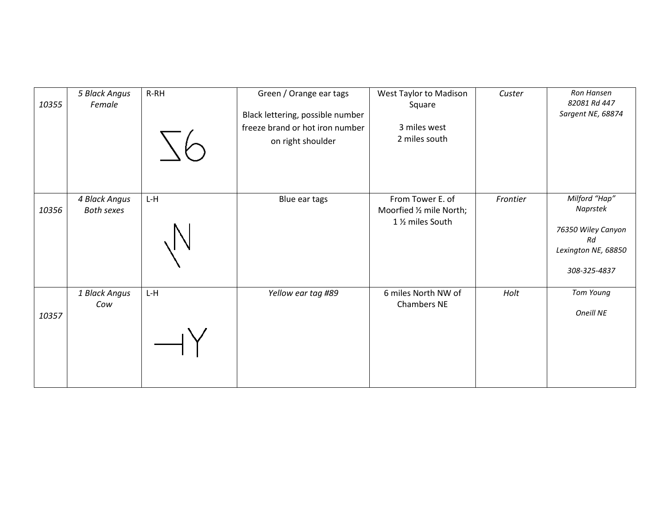| 10355 | 5 Black Angus<br>Female            | $R-RH$ | Green / Orange ear tags<br>Black lettering, possible number<br>freeze brand or hot iron number<br>on right shoulder | West Taylor to Madison<br>Square<br>3 miles west<br>2 miles south             | Custer   | Ron Hansen<br>82081 Rd 447<br>Sargent NE, 68874                                              |
|-------|------------------------------------|--------|---------------------------------------------------------------------------------------------------------------------|-------------------------------------------------------------------------------|----------|----------------------------------------------------------------------------------------------|
| 10356 | 4 Black Angus<br><b>Both sexes</b> | L-H    | Blue ear tags                                                                                                       | From Tower E. of<br>Moorfied 1/2 mile North;<br>1 1/ <sub>2</sub> miles South | Frontier | Milford "Hap"<br>Naprstek<br>76350 Wiley Canyon<br>Rd<br>Lexington NE, 68850<br>308-325-4837 |
| 10357 | 1 Black Angus<br>Cow               | $L-H$  | Yellow ear tag #89                                                                                                  | 6 miles North NW of<br><b>Chambers NE</b>                                     | Holt     | Tom Young<br>Oneill NE                                                                       |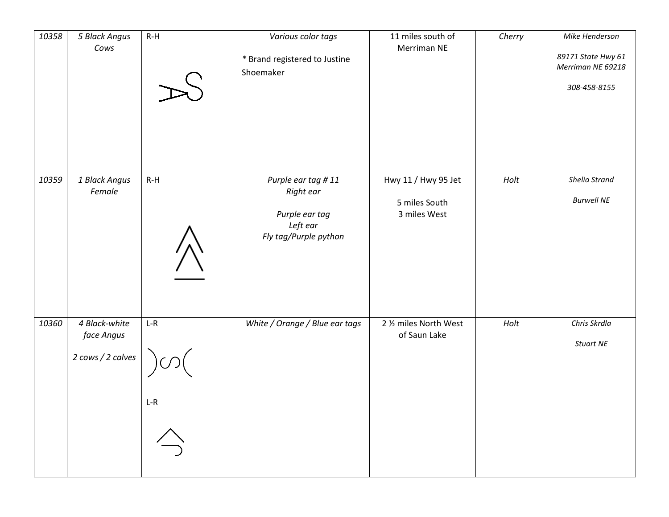| 10358 | 5 Black Angus<br>Cows                            | $R-H$                                            | Various color tags<br>* Brand registered to Justine<br>Shoemaker                       | 11 miles south of<br>Merriman NE                     | Cherry | Mike Henderson<br>89171 State Hwy 61<br>Merriman NE 69218<br>308-458-8155 |
|-------|--------------------------------------------------|--------------------------------------------------|----------------------------------------------------------------------------------------|------------------------------------------------------|--------|---------------------------------------------------------------------------|
| 10359 | 1 Black Angus<br>Female                          | $R-H$                                            | Purple ear tag #11<br>Right ear<br>Purple ear tag<br>Left ear<br>Fly tag/Purple python | Hwy 11 / Hwy 95 Jet<br>5 miles South<br>3 miles West | Holt   | Shelia Strand<br><b>Burwell NE</b>                                        |
| 10360 | 4 Black-white<br>face Angus<br>2 cows / 2 calves | $L-R$<br>$L-R$<br>$\overrightarrow{\rightarrow}$ | White / Orange / Blue ear tags                                                         | 2 % miles North West<br>of Saun Lake                 | Holt   | Chris Skrdla<br>Stuart NE                                                 |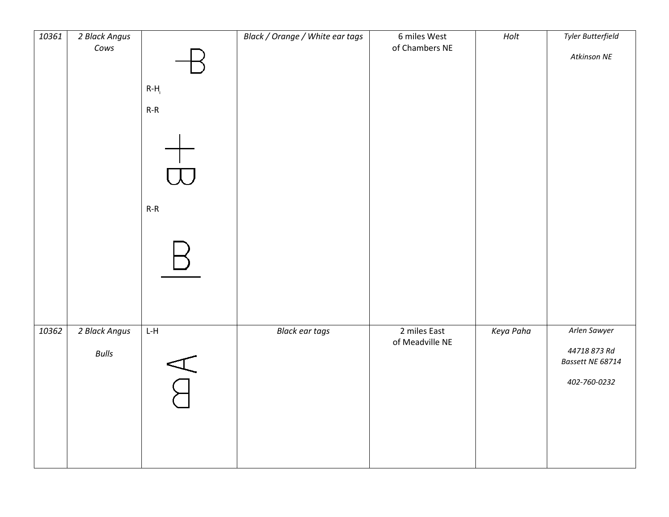| 10361 | 2 Black Angus |                          | Black / Orange / White ear tags | 6 miles West    | Holt      | Tyler Butterfield |
|-------|---------------|--------------------------|---------------------------------|-----------------|-----------|-------------------|
|       | Cows          |                          |                                 | of Chambers NE  |           |                   |
|       |               |                          |                                 |                 |           | Atkinson NE       |
|       |               |                          |                                 |                 |           |                   |
|       |               | $R-H$                    |                                 |                 |           |                   |
|       |               | $R-R$                    |                                 |                 |           |                   |
|       |               |                          |                                 |                 |           |                   |
|       |               |                          |                                 |                 |           |                   |
|       |               |                          |                                 |                 |           |                   |
|       |               |                          |                                 |                 |           |                   |
|       |               |                          |                                 |                 |           |                   |
|       |               |                          |                                 |                 |           |                   |
|       |               |                          |                                 |                 |           |                   |
|       |               | $R-R$                    |                                 |                 |           |                   |
|       |               |                          |                                 |                 |           |                   |
|       |               |                          |                                 |                 |           |                   |
|       |               |                          |                                 |                 |           |                   |
|       |               |                          |                                 |                 |           |                   |
|       |               |                          |                                 |                 |           |                   |
|       |               |                          |                                 |                 |           |                   |
|       |               |                          |                                 |                 |           |                   |
|       |               |                          |                                 |                 |           |                   |
| 10362 | 2 Black Angus | $L-H$                    | <b>Black ear tags</b>           | 2 miles East    | Keya Paha | Arlen Sawyer      |
|       |               |                          |                                 | of Meadville NE |           | 44718 873 Rd      |
|       | <b>Bulls</b>  |                          |                                 |                 |           | Bassett NE 68714  |
|       |               | $\overline{\mathcal{A}}$ |                                 |                 |           |                   |
|       |               |                          |                                 |                 |           | 402-760-0232      |
|       |               |                          |                                 |                 |           |                   |
|       |               |                          |                                 |                 |           |                   |
|       |               |                          |                                 |                 |           |                   |
|       |               |                          |                                 |                 |           |                   |
|       |               |                          |                                 |                 |           |                   |
|       |               |                          |                                 |                 |           |                   |